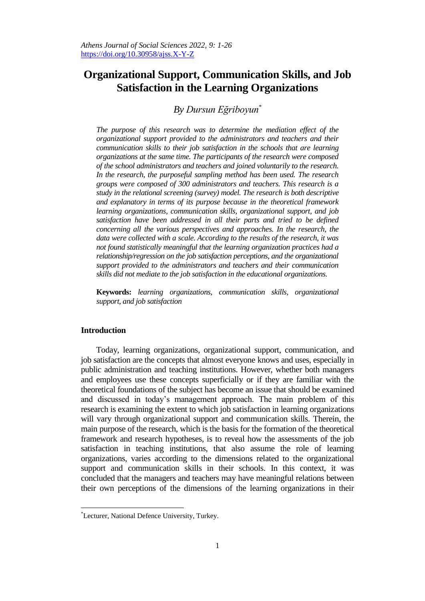# **Organizational Support, Communication Skills, and Job Satisfaction in the Learning Organizations**

## *By Dursun Eğriboyun\**

*The purpose of this research was to determine the mediation effect of the organizational support provided to the administrators and teachers and their communication skills to their job satisfaction in the schools that are learning organizations at the same time. The participants of the research were composed of the school administrators and teachers and joined voluntarily to the research. In the research, the purposeful sampling method has been used. The research groups were composed of 300 administrators and teachers. This research is a study in the relational screening (survey) model. The research is both descriptive and explanatory in terms of its purpose because in the theoretical framework learning organizations, communication skills, organizational support, and job*  satisfaction have been addressed in all their parts and tried to be defined *concerning all the various perspectives and approaches. In the research, the data were collected with a scale. According to the results of the research, it was not found statistically meaningful that the learning organization practices had a relationship/regression on the job satisfaction perceptions, and the organizational support provided to the administrators and teachers and their communication skills did not mediate to the job satisfaction in the educational organizations.*

**Keywords:** *learning organizations, communication skills, organizational support, and job satisfaction*

## **Introduction**

 $\overline{a}$ 

Today, learning organizations, organizational support, communication, and job satisfaction are the concepts that almost everyone knows and uses, especially in public administration and teaching institutions. However, whether both managers and employees use these concepts superficially or if they are familiar with the theoretical foundations of the subject has become an issue that should be examined and discussed in today's management approach. The main problem of this research is examining the extent to which job satisfaction in learning organizations will vary through organizational support and communication skills. Therein, the main purpose of the research, which is the basis for the formation of the theoretical framework and research hypotheses, is to reveal how the assessments of the job satisfaction in teaching institutions, that also assume the role of learning organizations, varies according to the dimensions related to the organizational support and communication skills in their schools. In this context, it was concluded that the managers and teachers may have meaningful relations between their own perceptions of the dimensions of the learning organizations in their

<sup>\*</sup>Lecturer, National Defence University, Turkey.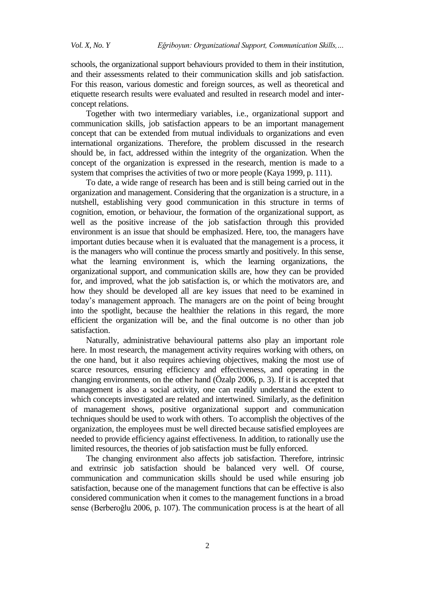schools, the organizational support behaviours provided to them in their institution, and their assessments related to their communication skills and job satisfaction. For this reason, various domestic and foreign sources, as well as theoretical and etiquette research results were evaluated and resulted in research model and interconcept relations.

Together with two intermediary variables, i.e., organizational support and communication skills, job satisfaction appears to be an important management concept that can be extended from mutual individuals to organizations and even international organizations. Therefore, the problem discussed in the research should be, in fact, addressed within the integrity of the organization. When the concept of the organization is expressed in the research, mention is made to a system that comprises the activities of two or more people (Kaya 1999, p. 111).

To date, a wide range of research has been and is still being carried out in the organization and management. Considering that the organization is a structure, in a nutshell, establishing very good communication in this structure in terms of cognition, emotion, or behaviour, the formation of the organizational support, as well as the positive increase of the job satisfaction through this provided environment is an issue that should be emphasized. Here, too, the managers have important duties because when it is evaluated that the management is a process, it is the managers who will continue the process smartly and positively. In this sense, what the learning environment is, which the learning organizations, the organizational support, and communication skills are, how they can be provided for, and improved, what the job satisfaction is, or which the motivators are, and how they should be developed all are key issues that need to be examined in today's management approach. The managers are on the point of being brought into the spotlight, because the healthier the relations in this regard, the more efficient the organization will be, and the final outcome is no other than job satisfaction.

Naturally, administrative behavioural patterns also play an important role here. In most research, the management activity requires working with others, on the one hand, but it also requires achieving objectives, making the most use of scarce resources, ensuring efficiency and effectiveness, and operating in the changing environments, on the other hand (Özalp 2006, p. 3). If it is accepted that management is also a social activity, one can readily understand the extent to which concepts investigated are related and intertwined. Similarly, as the definition of management shows, positive organizational support and communication techniques should be used to work with others. To accomplish the objectives of the organization, the employees must be well directed because satisfied employees are needed to provide efficiency against effectiveness. In addition, to rationally use the limited resources, the theories of job satisfaction must be fully enforced.

The changing environment also affects job satisfaction. Therefore, intrinsic and extrinsic job satisfaction should be balanced very well. Of course, communication and communication skills should be used while ensuring job satisfaction, because one of the management functions that can be effective is also considered communication when it comes to the management functions in a broad sense (Berberoğlu 2006, p. 107). The communication process is at the heart of all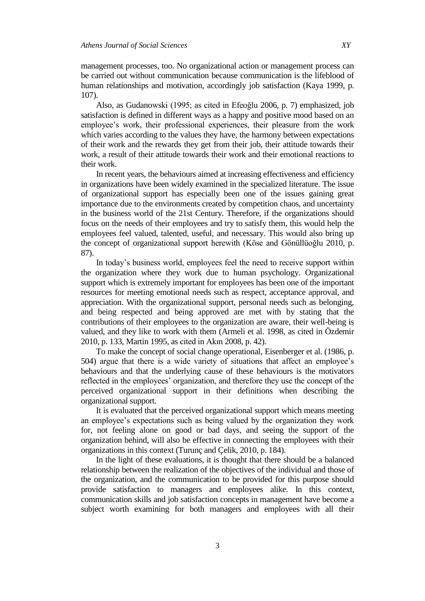management processes, too. No organizational action or management process can be carried out without communication because communication is the lifeblood of human relationships and motivation, accordingly job satisfaction (Kaya 1999, p. 107).

Also, as Gudanowski (1995; as cited in Efeoğlu 2006, p. 7) emphasized, job satisfaction is defined in different ways as a happy and positive mood based on an employee's work, their professional experiences, their pleasure from the work which varies according to the values they have, the harmony between expectations of their work and the rewards they get from their job, their attitude towards their work, a result of their attitude towards their work and their emotional reactions to their work.

In recent years, the behaviours aimed at increasing effectiveness and efficiency in organizations have been widely examined in the specialized literature. The issue of organizational support has especially been one of the issues gaining great importance due to the environments created by competition chaos, and uncertainty in the business world of the 21st Century. Therefore, if the organizations should focus on the needs of their employees and try to satisfy them, this would help the employees feel valued, talented, useful, and necessary. This would also bring up the concept of organizational support herewith (Köse and Gönüllüoğlu 2010, p. 87).

In today's business world, employees feel the need to receive support within the organization where they work due to human psychology. Organizational support which is extremely important for employees has been one of the important resources for meeting emotional needs such as respect, acceptance approval, and appreciation. With the organizational support, personal needs such as belonging, and being respected and being approved are met with by stating that the contributions of their employees to the organization are aware, their well-being is valued, and they like to work with them (Armeli et al. 1998, as cited in Özdemir 2010, p. 133, Martin 1995, as cited in Akın 2008, p. 42).

To make the concept of social change operational, Eisenberger et al. (1986, p. 504) argue that there is a wide variety of situations that affect an employee's behaviours and that the underlying cause of these behaviours is the motivators reflected in the employees' organization, and therefore they use the concept of the perceived organizational support in their definitions when describing the organizational support.

It is evaluated that the perceived organizational support which means meeting an employee's expectations such as being valued by the organization they work for, not feeling alone on good or bad days, and seeing the support of the organization behind, will also be effective in connecting the employees with their organizations in this context (Turunç and Çelik, 2010, p. 184).

In the light of these evaluations, it is thought that there should be a balanced relationship between the realization of the objectives of the individual and those of the organization, and the communication to be provided for this purpose should provide satisfaction to managers and employees alike. In this context, communication skills and job satisfaction concepts in management have become a subject worth examining for both managers and employees with all their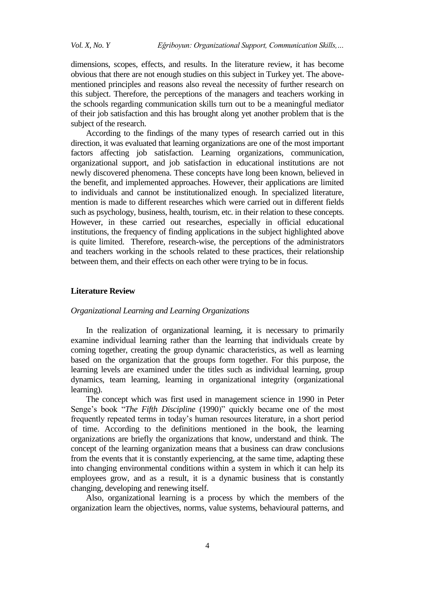dimensions, scopes, effects, and results. In the literature review, it has become obvious that there are not enough studies on this subject in Turkey yet. The abovementioned principles and reasons also reveal the necessity of further research on this subject. Therefore, the perceptions of the managers and teachers working in the schools regarding communication skills turn out to be a meaningful mediator of their job satisfaction and this has brought along yet another problem that is the subject of the research.

According to the findings of the many types of research carried out in this direction, it was evaluated that learning organizations are one of the most important factors affecting job satisfaction. Learning organizations, communication, organizational support, and job satisfaction in educational institutions are not newly discovered phenomena. These concepts have long been known, believed in the benefit, and implemented approaches. However, their applications are limited to individuals and cannot be institutionalized enough. In specialized literature, mention is made to different researches which were carried out in different fields such as psychology, business, health, tourism, etc. in their relation to these concepts. However, in these carried out researches, especially in official educational institutions, the frequency of finding applications in the subject highlighted above is quite limited. Therefore, research-wise, the perceptions of the administrators and teachers working in the schools related to these practices, their relationship between them, and their effects on each other were trying to be in focus.

## **Literature Review**

## *Organizational Learning and Learning Organizations*

In the realization of organizational learning, it is necessary to primarily examine individual learning rather than the learning that individuals create by coming together, creating the group dynamic characteristics, as well as learning based on the organization that the groups form together. For this purpose, the learning levels are examined under the titles such as individual learning, group dynamics, team learning, learning in organizational integrity (organizational learning).

The concept which was first used in management science in 1990 in Peter Senge's book "*The Fifth Discipline* (1990)" quickly became one of the most frequently repeated terms in today's human resources literature, in a short period of time. According to the definitions mentioned in the book, the learning organizations are briefly the organizations that know, understand and think. The concept of the learning organization means that a business can draw conclusions from the events that it is constantly experiencing, at the same time, adapting these into changing environmental conditions within a system in which it can help its employees grow, and as a result, it is a dynamic business that is constantly changing, developing and renewing itself.

Also, organizational learning is a process by which the members of the organization learn the objectives, norms, value systems, behavioural patterns, and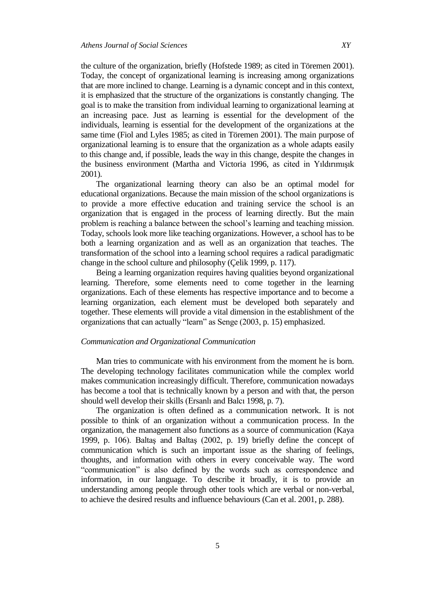the culture of the organization, briefly (Hofstede 1989; as cited in Töremen 2001). Today, the concept of organizational learning is increasing among organizations that are more inclined to change. Learning is a dynamic concept and in this context, it is emphasized that the structure of the organizations is constantly changing. The goal is to make the transition from individual learning to organizational learning at an increasing pace. Just as learning is essential for the development of the individuals, learning is essential for the development of the organizations at the same time (Fiol and Lyles 1985; as cited in Töremen 2001). The main purpose of organizational learning is to ensure that the organization as a whole adapts easily to this change and, if possible, leads the way in this change, despite the changes in the business environment (Martha and Victoria 1996, as cited in Yıldırımışık 2001).

The organizational learning theory can also be an optimal model for educational organizations. Because the main mission of the school organizations is to provide a more effective education and training service the school is an organization that is engaged in the process of learning directly. But the main problem is reaching a balance between the school's learning and teaching mission. Today, schools look more like teaching organizations. However, a school has to be both a learning organization and as well as an organization that teaches. The transformation of the school into a learning school requires a radical paradigmatic change in the school culture and philosophy (Çelik 1999, p. 117).

Being a learning organization requires having qualities beyond organizational learning. Therefore, some elements need to come together in the learning organizations. Each of these elements has respective importance and to become a learning organization, each element must be developed both separately and together. These elements will provide a vital dimension in the establishment of the organizations that can actually "learn" as Senge (2003, p. 15) emphasized.

## *Communication and Organizational Communication*

Man tries to communicate with his environment from the moment he is born. The developing technology facilitates communication while the complex world makes communication increasingly difficult. Therefore, communication nowadays has become a tool that is technically known by a person and with that, the person should well develop their skills (Ersanlı and Balcı 1998, p. 7).

The organization is often defined as a communication network. It is not possible to think of an organization without a communication process. In the organization, the management also functions as a source of communication (Kaya 1999, p. 106). Baltaş and Baltaş (2002, p. 19) briefly define the concept of communication which is such an important issue as the sharing of feelings, thoughts, and information with others in every conceivable way. The word "communication" is also defined by the words such as correspondence and information, in our language. To describe it broadly, it is to provide an understanding among people through other tools which are verbal or non-verbal, to achieve the desired results and influence behaviours (Can et al. 2001, p. 288).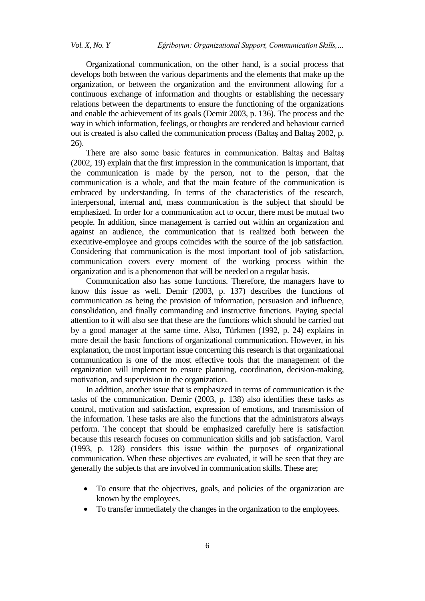Organizational communication, on the other hand, is a social process that develops both between the various departments and the elements that make up the organization, or between the organization and the environment allowing for a continuous exchange of information and thoughts or establishing the necessary relations between the departments to ensure the functioning of the organizations and enable the achievement of its goals (Demir 2003, p. 136). The process and the way in which information, feelings, or thoughts are rendered and behaviour carried out is created is also called the communication process (Baltaş and Baltaş 2002, p. 26).

There are also some basic features in communication. Baltaş and Baltaş (2002, 19) explain that the first impression in the communication is important, that the communication is made by the person, not to the person, that the communication is a whole, and that the main feature of the communication is embraced by understanding. In terms of the characteristics of the research, interpersonal, internal and, mass communication is the subject that should be emphasized. In order for a communication act to occur, there must be mutual two people. In addition, since management is carried out within an organization and against an audience, the communication that is realized both between the executive-employee and groups coincides with the source of the job satisfaction. Considering that communication is the most important tool of job satisfaction, communication covers every moment of the working process within the organization and is a phenomenon that will be needed on a regular basis.

Communication also has some functions. Therefore, the managers have to know this issue as well. Demir (2003, p. 137) describes the functions of communication as being the provision of information, persuasion and influence, consolidation, and finally commanding and instructive functions. Paying special attention to it will also see that these are the functions which should be carried out by a good manager at the same time. Also, Türkmen (1992, p. 24) explains in more detail the basic functions of organizational communication. However, in his explanation, the most important issue concerning this research is that organizational communication is one of the most effective tools that the management of the organization will implement to ensure planning, coordination, decision-making, motivation, and supervision in the organization.

In addition, another issue that is emphasized in terms of communication is the tasks of the communication. Demir (2003, p. 138) also identifies these tasks as control, motivation and satisfaction, expression of emotions, and transmission of the information. These tasks are also the functions that the administrators always perform. The concept that should be emphasized carefully here is satisfaction because this research focuses on communication skills and job satisfaction. Varol (1993, p. 128) considers this issue within the purposes of organizational communication. When these objectives are evaluated, it will be seen that they are generally the subjects that are involved in communication skills. These are;

- To ensure that the objectives, goals, and policies of the organization are known by the employees.
- To transfer immediately the changes in the organization to the employees.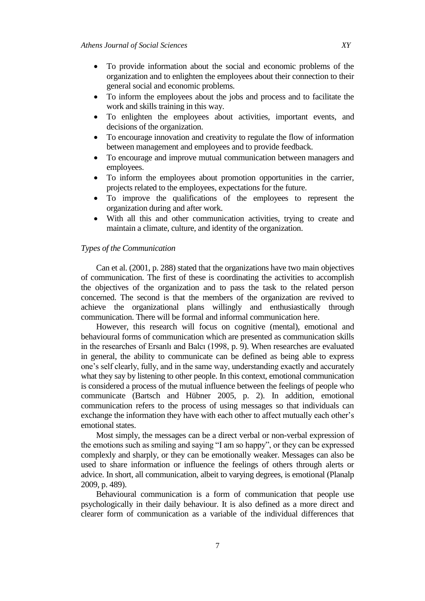- To provide information about the social and economic problems of the organization and to enlighten the employees about their connection to their general social and economic problems.
- To inform the employees about the jobs and process and to facilitate the work and skills training in this way.
- To enlighten the employees about activities, important events, and decisions of the organization.
- To encourage innovation and creativity to regulate the flow of information between management and employees and to provide feedback.
- To encourage and improve mutual communication between managers and employees.
- To inform the employees about promotion opportunities in the carrier, projects related to the employees, expectations for the future.
- To improve the qualifications of the employees to represent the organization during and after work.
- With all this and other communication activities, trying to create and maintain a climate, culture, and identity of the organization.

## *Types of the Communication*

Can et al. (2001, p. 288) stated that the organizations have two main objectives of communication. The first of these is coordinating the activities to accomplish the objectives of the organization and to pass the task to the related person concerned. The second is that the members of the organization are revived to achieve the organizational plans willingly and enthusiastically through communication. There will be formal and informal communication here.

However, this research will focus on cognitive (mental), emotional and behavioural forms of communication which are presented as communication skills in the researches of Ersanlı and Balcı (1998, p. 9). When researches are evaluated in general, the ability to communicate can be defined as being able to express one's self clearly, fully, and in the same way, understanding exactly and accurately what they say by listening to other people. In this context, emotional communication is considered a process of the mutual influence between the feelings of people who communicate (Bartsch and Hübner 2005, p. 2). In addition, emotional communication refers to the process of using messages so that individuals can exchange the information they have with each other to affect mutually each other's emotional states.

Most simply, the messages can be a direct verbal or non-verbal expression of the emotions such as smiling and saying "I am so happy", or they can be expressed complexly and sharply, or they can be emotionally weaker. Messages can also be used to share information or influence the feelings of others through alerts or advice. In short, all communication, albeit to varying degrees, is emotional (Planalp 2009, p. 489).

Behavioural communication is a form of communication that people use psychologically in their daily behaviour. It is also defined as a more direct and clearer form of communication as a variable of the individual differences that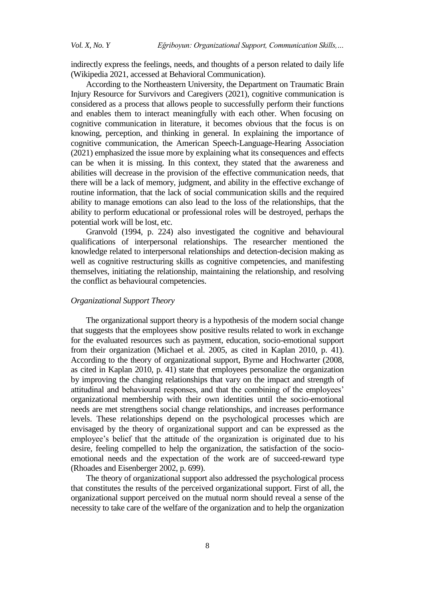indirectly express the feelings, needs, and thoughts of a person related to daily life (Wikipedia 2021, accessed at [Behavioral Communication\)](https://en.wikipedia.org/wiki/Behavioral_communication).

According to the Northeastern University, the Department on Traumatic Brain Injury Resource for Survivors and Caregivers (2021), cognitive communication is considered as a process that allows people to successfully perform their functions and enables them to interact meaningfully with each other. When focusing on cognitive communication in literature, it becomes obvious that the focus is on knowing, perception, and thinking in general. In explaining the importance of cognitive communication, the American Speech-Language-Hearing Association (2021) emphasized the issue more by explaining what its consequences and effects can be when it is missing. In this context, they stated that the awareness and abilities will decrease in the provision of the effective communication needs, that there will be a lack of memory, judgment, and ability in the effective exchange of routine information, that the lack of social communication skills and the required ability to manage emotions can also lead to the loss of the relationships, that the ability to perform educational or professional roles will be destroyed, perhaps the potential work will be lost, etc.

Granvold (1994, p. 224) also investigated the cognitive and behavioural qualifications of interpersonal relationships. The researcher mentioned the knowledge related to interpersonal relationships and detection-decision making as well as cognitive restructuring skills as cognitive competencies, and manifesting themselves, initiating the relationship, maintaining the relationship, and resolving the conflict as behavioural competencies.

## *Organizational Support Theory*

The organizational support theory is a hypothesis of the modern social change that suggests that the employees show positive results related to work in exchange for the evaluated resources such as payment, education, socio-emotional support from their organization (Michael et al. 2005, as cited in Kaplan 2010, p. 41). According to the theory of organizational support, Byrne and Hochwarter (2008, as cited in Kaplan 2010, p. 41) state that employees personalize the organization by improving the changing relationships that vary on the impact and strength of attitudinal and behavioural responses, and that the combining of the employees' organizational membership with their own identities until the socio-emotional needs are met strengthens social change relationships, and increases performance levels. These relationships depend on the psychological processes which are envisaged by the theory of organizational support and can be expressed as the employee's belief that the attitude of the organization is originated due to his desire, feeling compelled to help the organization, the satisfaction of the socioemotional needs and the expectation of the work are of succeed-reward type (Rhoades and Eisenberger 2002, p. 699).

The theory of organizational support also addressed the psychological process that constitutes the results of the perceived organizational support. First of all, the organizational support perceived on the mutual norm should reveal a sense of the necessity to take care of the welfare of the organization and to help the organization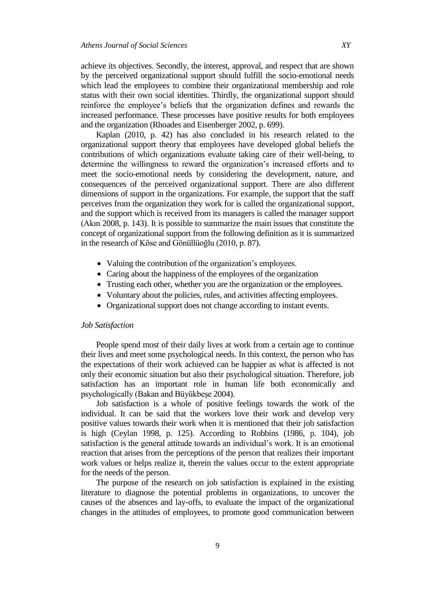achieve its objectives. Secondly, the interest, approval, and respect that are shown by the perceived organizational support should fulfill the socio-emotional needs which lead the employees to combine their organizational membership and role status with their own social identities. Thirdly, the organizational support should reinforce the employee's beliefs that the organization defines and rewards the increased performance. These processes have positive results for both employees and the organization (Rhoades and Eisenberger 2002, p. 699).

Kaplan (2010, p. 42) has also concluded in his research related to the organizational support theory that employees have developed global beliefs the contributions of which organizations evaluate taking care of their well-being, to determine the willingness to reward the organization's increased efforts and to meet the socio-emotional needs by considering the development, nature, and consequences of the perceived organizational support. There are also different dimensions of support in the organizations. For example, the support that the staff perceives from the organization they work for is called the organizational support, and the support which is received from its managers is called the manager support (Akın 2008, p. 143). It is possible to summarize the main issues that constitute the concept of organizational support from the following definition as it is summarized in the research of Köse and Gönüllüoğlu (2010, p. 87).

- Valuing the contribution of the organization's employees.
- Caring about the happiness of the employees of the organization
- Trusting each other, whether you are the organization or the employees.
- Voluntary about the policies, rules, and activities affecting employees.
- Organizational support does not change according to instant events.

## *Job Satisfaction*

People spend most of their daily lives at work from a certain age to continue their lives and meet some psychological needs. In this context, the person who has the expectations of their work achieved can be happier as what is affected is not only their economic situation but also their psychological situation. Therefore, job satisfaction has an important role in human life both economically and psychologically (Bakan and Büyükbeşe 2004).

Job satisfaction is a whole of positive feelings towards the work of the individual. It can be said that the workers love their work and develop very positive values towards their work when it is mentioned that their job satisfaction is high (Ceylan 1998, p. 125). According to Robbins (1986, p. 104), job satisfaction is the general attitude towards an individual's work. It is an emotional reaction that arises from the perceptions of the person that realizes their important work values or helps realize it, therein the values occur to the extent appropriate for the needs of the person.

The purpose of the research on job satisfaction is explained in the existing literature to diagnose the potential problems in organizations, to uncover the causes of the absences and lay-offs, to evaluate the impact of the organizational changes in the attitudes of employees, to promote good communication between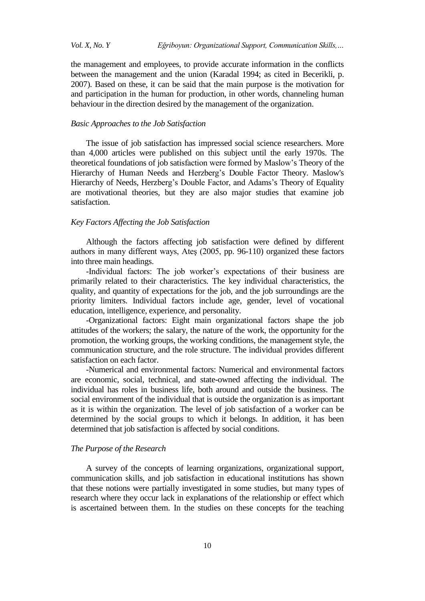the management and employees, to provide accurate information in the conflicts between the management and the union (Karadal 1994; as cited in Becerikli, p. 2007). Based on these, it can be said that the main purpose is the motivation for and participation in the human for production, in other words, channeling human behaviour in the direction desired by the management of the organization.

#### *Basic Approaches to the Job Satisfaction*

The issue of job satisfaction has impressed social science researchers. More than 4,000 articles were published on this subject until the early 1970s. The theoretical foundations of job satisfaction were formed by Maslow's Theory of the Hierarchy of Human Needs and Herzberg's Double Factor Theory. Maslow's Hierarchy of Needs, Herzberg's Double Factor, and Adams's Theory of Equality are motivational theories, but they are also major studies that examine job satisfaction.

## *Key Factors Affecting the Job Satisfaction*

Although the factors affecting job satisfaction were defined by different authors in many different ways, Ateş (2005, pp. 96-110) organized these factors into three main headings.

-Individual factors: The job worker's expectations of their business are primarily related to their characteristics. The key individual characteristics, the quality, and quantity of expectations for the job, and the job surroundings are the priority limiters. Individual factors include age, gender, level of vocational education, intelligence, experience, and personality.

-Organizational factors: Eight main organizational factors shape the job attitudes of the workers; the salary, the nature of the work, the opportunity for the promotion, the working groups, the working conditions, the management style, the communication structure, and the role structure. The individual provides different satisfaction on each factor.

-Numerical and environmental factors: Numerical and environmental factors are economic, social, technical, and state-owned affecting the individual. The individual has roles in business life, both around and outside the business. The social environment of the individual that is outside the organization is as important as it is within the organization. The level of job satisfaction of a worker can be determined by the social groups to which it belongs. In addition, it has been determined that job satisfaction is affected by social conditions.

## *The Purpose of the Research*

A survey of the concepts of learning organizations, organizational support, communication skills, and job satisfaction in educational institutions has shown that these notions were partially investigated in some studies, but many types of research where they occur lack in explanations of the relationship or effect which is ascertained between them. In the studies on these concepts for the teaching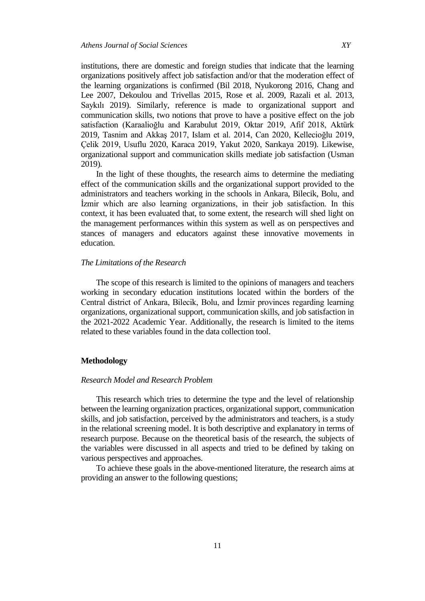institutions, there are domestic and foreign studies that indicate that the learning organizations positively affect job satisfaction and/or that the moderation effect of the learning organizations is confirmed (Bil 2018, Nyukorong 2016, Chang and Lee 2007, Dekoulou and Trivellas 2015, Rose et al. 2009, Razali et al. 2013, Saykılı 2019). Similarly, reference is made to organizational support and communication skills, two notions that prove to have a positive effect on the job satisfaction (Karaalioğlu and Karabulut 2019, Oktar 2019, Afif 2018, Aktürk 2019, Tasnim and Akkaş 2017, Islam et al. 2014, Can 2020, Kellecioğlu 2019, Çelik 2019, Usuflu 2020, Karaca 2019, Yakut 2020, Sarıkaya 2019). Likewise, organizational support and communication skills mediate job satisfaction (Usman 2019).

In the light of these thoughts, the research aims to determine the mediating effect of the communication skills and the organizational support provided to the administrators and teachers working in the schools in Ankara, Bilecik, Bolu, and İzmir which are also learning organizations, in their job satisfaction. In this context, it has been evaluated that, to some extent, the research will shed light on the management performances within this system as well as on perspectives and stances of managers and educators against these innovative movements in education.

## *The Limitations of the Research*

The scope of this research is limited to the opinions of managers and teachers working in secondary education institutions located within the borders of the Central district of Ankara, Bilecik, Bolu, and İzmir provinces regarding learning organizations, organizational support, communication skills, and job satisfaction in the 2021-2022 Academic Year. Additionally, the research is limited to the items related to these variables found in the data collection tool.

#### **Methodology**

## *Research Model and Research Problem*

This research which tries to determine the type and the level of relationship between the learning organization practices, organizational support, communication skills, and job satisfaction, perceived by the administrators and teachers, is a study in the relational screening model. It is both descriptive and explanatory in terms of research purpose. Because on the theoretical basis of the research, the subjects of the variables were discussed in all aspects and tried to be defined by taking on various perspectives and approaches.

To achieve these goals in the above-mentioned literature, the research aims at providing an answer to the following questions;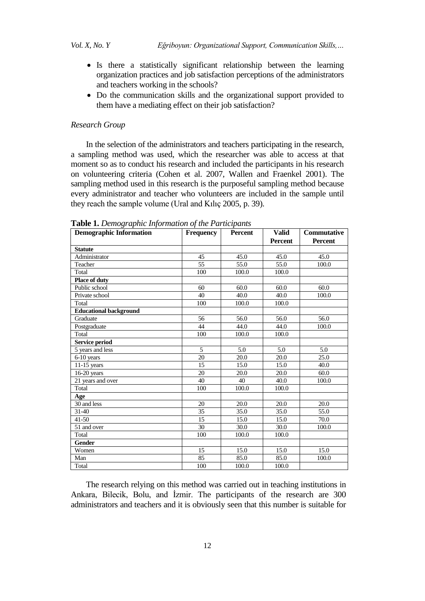- Is there a statistically significant relationship between the learning organization practices and job satisfaction perceptions of the administrators and teachers working in the schools?
- Do the communication skills and the organizational support provided to them have a mediating effect on their job satisfaction?

## *Research Group*

In the selection of the administrators and teachers participating in the research, a sampling method was used, which the researcher was able to access at that moment so as to conduct his research and included the participants in his research on volunteering criteria (Cohen et al. 2007, Wallen and Fraenkel 2001). The sampling method used in this research is the purposeful sampling method because every administrator and teacher who volunteers are included in the sample until they reach the sample volume (Ural and Kılıç 2005, p. 39).

| <b>Demographic Information</b> | <b>Frequency</b> | <b>Percent</b>    | <b>Valid</b>      | <b>Commutative</b> |
|--------------------------------|------------------|-------------------|-------------------|--------------------|
|                                |                  |                   | <b>Percent</b>    | <b>Percent</b>     |
| <b>Statute</b>                 |                  |                   |                   |                    |
| Administrator                  | 45               | 45.0              | 45.0              | 45.0               |
| Teacher                        | 55               | 55.0              | 55.0              | 100.0              |
| Total                          | 100              | 100.0             | 100.0             |                    |
| Place of duty                  |                  |                   |                   |                    |
| Public school                  | 60               | 60.0              | 60.0              | 60.0               |
| Private school                 | 40               | 40.0              | 40.0              | 100.0              |
| Total                          | 100              | 100.0             | 100.0             |                    |
| <b>Educational background</b>  |                  |                   |                   |                    |
| Graduate                       | 56               | 56.0              | 56.0              | 56.0               |
| Postgraduate                   | 44               | 44.0              | 44.0              | 100.0              |
| Total                          | 100              | 100.0             | 100.0             |                    |
| Service period                 |                  |                   |                   |                    |
| 5 years and less               | 5                | 5.0               | 5.0               | 5.0                |
| 6-10 years                     | 20               | 20.0              | 20.0              | 25.0               |
| $11-15$ years                  | 15               | 15.0              | 15.0              | 40.0               |
| $16-20$ years                  | 20               | 20.0              | 20.0              | 60.0               |
| 21 years and over              | 40               | 40                | 40.0              | 100.0              |
| Total                          | 100              | 100.0             | 100.0             |                    |
| Age                            |                  |                   |                   |                    |
| 30 and less                    | 20               | 20.0              | 20.0              | 20.0               |
| 31-40                          | 35               | 35.0              | 35.0              | 55.0               |
| $41 - 50$                      | 15               | 15.0              | 15.0              | 70.0               |
| 51 and over                    | $\overline{30}$  | $\overline{30.0}$ | $\overline{30.0}$ | 100.0              |
| Total                          | 100              | 100.0             | 100.0             |                    |
| Gender                         |                  |                   |                   |                    |
| Women                          | 15               | 15.0              | 15.0              | 15.0               |
| Man                            | 85               | 85.0              | 85.0              | 100.0              |
| Total                          | 100              | 100.0             | 100.0             |                    |

**Table 1.** *Demographic Information of the Participants* 

The research relying on this method was carried out in teaching institutions in Ankara, Bilecik, Bolu, and İzmir. The participants of the research are 300 administrators and teachers and it is obviously seen that this number is suitable for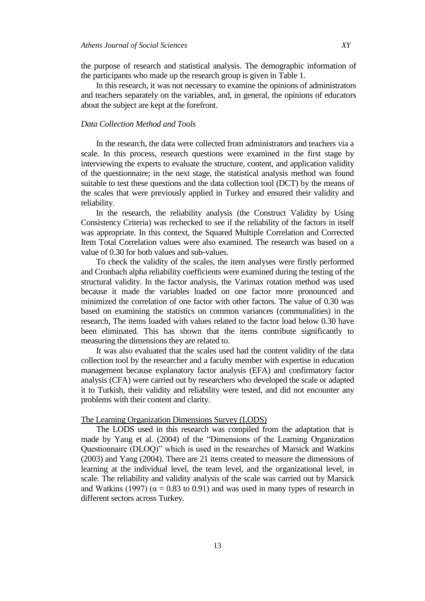the purpose of research and statistical analysis. The demographic information of the participants who made up the research group is given in Table 1.

In this research, it was not necessary to examine the opinions of administrators and teachers separately on the variables, and, in general, the opinions of educators about the subject are kept at the forefront.

## *Data Collection Method and Tools*

In the research, the data were collected from administrators and teachers via a scale. In this process, research questions were examined in the first stage by interviewing the experts to evaluate the structure, content, and application validity of the questionnaire; in the next stage, the statistical analysis method was found suitable to test these questions and the data collection tool (DCT) by the means of the scales that were previously applied in Turkey and ensured their validity and reliability.

In the research, the reliability analysis (the Construct Validity by Using Consistency Criteria) was rechecked to see if the reliability of the factors in itself was appropriate. In this context, the Squared Multiple Correlation and Corrected Item Total Correlation values were also examined. The research was based on a value of 0.30 for both values and sub-values.

To check the validity of the scales, the item analyses were firstly performed and Cronbach alpha reliability coefficients were examined during the testing of the structural validity. In the factor analysis, the Varimax rotation method was used because it made the variables loaded on one factor more pronounced and minimized the correlation of one factor with other factors. The value of 0.30 was based on examining the statistics on common variances (communalities) in the research, The items loaded with values related to the factor load below 0.30 have been eliminated. This has shown that the items contribute significantly to measuring the dimensions they are related to.

It was also evaluated that the scales used had the content validity of the data collection tool by the researcher and a faculty member with expertise in education management because explanatory factor analysis (EFA) and confirmatory factor analysis (CFA) were carried out by researchers who developed the scale or adapted it to Turkish, their validity and reliability were tested, and did not encounter any problems with their content and clarity.

## The Learning Organization Dimensions Survey (LODS)

The LODS used in this research was compiled from the adaptation that is made by Yang et al. (2004) of the "Dimensions of the Learning Organization Questionnaire (DLOQ)" which is used in the researches of Marsick and Watkins (2003) and Yang (2004). There are 21 items created to measure the dimensions of learning at the individual level, the team level, and the organizational level, in scale. The reliability and validity analysis of the scale was carried out by Marsick and Watkins (1997) ( $\alpha = 0.83$  to 0.91) and was used in many types of research in different sectors across Turkey.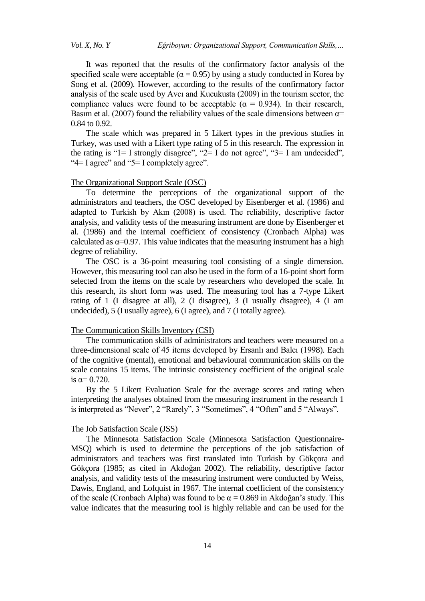It was reported that the results of the confirmatory factor analysis of the specified scale were acceptable ( $\alpha = 0.95$ ) by using a study conducted in Korea by Song et al. (2009). However, according to the results of the confirmatory factor analysis of the scale used by Avcı and Kucukusta (2009) in the tourism sector, the compliance values were found to be acceptable ( $\alpha = 0.934$ ). In their research, Basim et al. (2007) found the reliability values of the scale dimensions between  $\alpha$ = 0.84 to 0.92.

The scale which was prepared in 5 Likert types in the previous studies in Turkey, was used with a Likert type rating of 5 in this research. The expression in the rating is " $1 = I$  strongly disagree", " $2 = I$  do not agree", " $3 = I$  am undecided", "4= I agree" and "5= I completely agree".

#### The Organizational Support Scale (OSC)

To determine the perceptions of the organizational support of the administrators and teachers, the OSC developed by Eisenberger et al. (1986) and adapted to Turkish by Akın (2008) is used. The reliability, descriptive factor analysis, and validity tests of the measuring instrument are done by Eisenberger et al. (1986) and the internal coefficient of consistency (Cronbach Alpha) was calculated as  $\alpha$ =0.97. This value indicates that the measuring instrument has a high degree of reliability.

The OSC is a 36-point measuring tool consisting of a single dimension. However, this measuring tool can also be used in the form of a 16-point short form selected from the items on the scale by researchers who developed the scale. In this research, its short form was used. The measuring tool has a 7-type Likert rating of 1 (I disagree at all), 2 (I disagree), 3 (I usually disagree), 4 (I am undecided), 5 (I usually agree), 6 (I agree), and 7 (I totally agree).

#### The Communication Skills Inventory (CSI)

The communication skills of administrators and teachers were measured on a three-dimensional scale of 45 items developed by Ersanlı and Balcı (1998). Each of the cognitive (mental), emotional and behavioural communication skills on the scale contains 15 items. The intrinsic consistency coefficient of the original scale is  $α=0.720$ .

By the 5 Likert Evaluation Scale for the average scores and rating when interpreting the analyses obtained from the measuring instrument in the research 1 is interpreted as "Never", 2 "Rarely", 3 "Sometimes", 4 "Often" and 5 "Always".

## The Job Satisfaction Scale (JSS)

The Minnesota Satisfaction Scale (Minnesota Satisfaction Questionnaire-MSQ) which is used to determine the perceptions of the job satisfaction of administrators and teachers was first translated into Turkish by Gökçora and Gökçora (1985; as cited in Akdoğan 2002). The reliability, descriptive factor analysis, and validity tests of the measuring instrument were conducted by Weiss, Dawis, England, and Lofquist in 1967. The internal coefficient of the consistency of the scale (Cronbach Alpha) was found to be  $\alpha = 0.869$  in Akdoğan's study. This value indicates that the measuring tool is highly reliable and can be used for the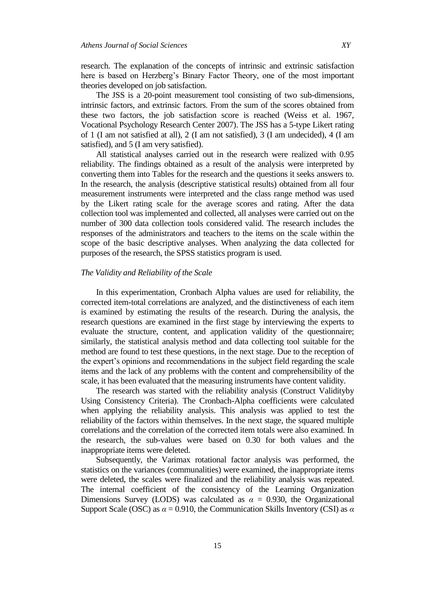research. The explanation of the concepts of intrinsic and extrinsic satisfaction here is based on Herzberg's Binary Factor Theory, one of the most important theories developed on job satisfaction.

The JSS is a 20-point measurement tool consisting of two sub-dimensions, intrinsic factors, and extrinsic factors. From the sum of the scores obtained from these two factors, the job satisfaction score is reached (Weiss et al. 1967, Vocational Psychology Research Center 2007). The JSS has a 5-type Likert rating of 1 (I am not satisfied at all), 2 (I am not satisfied), 3 (I am undecided), 4 (I am satisfied), and 5 (I am very satisfied).

All statistical analyses carried out in the research were realized with 0.95 reliability. The findings obtained as a result of the analysis were interpreted by converting them into Tables for the research and the questions it seeks answers to. In the research, the analysis (descriptive statistical results) obtained from all four measurement instruments were interpreted and the class range method was used by the Likert rating scale for the average scores and rating. After the data collection tool was implemented and collected, all analyses were carried out on the number of 300 data collection tools considered valid. The research includes the responses of the administrators and teachers to the items on the scale within the scope of the basic descriptive analyses. When analyzing the data collected for purposes of the research, the SPSS statistics program is used.

## *The Validity and Reliability of the Scale*

In this experimentation, Cronbach Alpha values are used for reliability, the corrected item-total correlations are analyzed, and the distinctiveness of each item is examined by estimating the results of the research. During the analysis, the research questions are examined in the first stage by interviewing the experts to evaluate the structure, content, and application validity of the questionnaire; similarly, the statistical analysis method and data collecting tool suitable for the method are found to test these questions, in the next stage. Due to the reception of the expert's opinions and recommendations in the subject field regarding the scale items and the lack of any problems with the content and comprehensibility of the scale, it has been evaluated that the measuring instruments have content validity.

The research was started with the reliability analysis (Construct Validityby Using Consistency Criteria). The Cronbach-Alpha coefficients were calculated when applying the reliability analysis. This analysis was applied to test the reliability of the factors within themselves. In the next stage, the squared multiple correlations and the correlation of the corrected item totals were also examined. In the research, the sub-values were based on 0.30 for both values and the inappropriate items were deleted.

Subsequently, the Varimax rotational factor analysis was performed, the statistics on the variances (communalities) were examined, the inappropriate items were deleted, the scales were finalized and the reliability analysis was repeated. The internal coefficient of the consistency of the Learning Organization Dimensions Survey (LODS) was calculated as  $\alpha = 0.930$ , the Organizational Support Scale (OSC) as *α* = 0.910, the Communication Skills Inventory (CSI) as *α*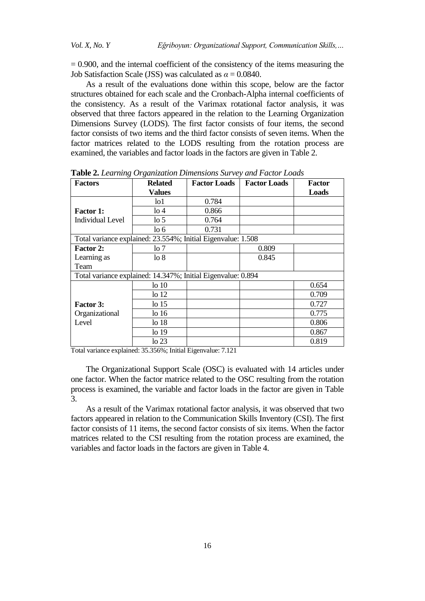$= 0.900$ , and the internal coefficient of the consistency of the items measuring the Job Satisfaction Scale (JSS) was calculated as  $\alpha = 0.0840$ .

As a result of the evaluations done within this scope, below are the factor structures obtained for each scale and the Cronbach-Alpha internal coefficients of the consistency. As a result of the Varimax rotational factor analysis, it was observed that three factors appeared in the relation to the Learning Organization Dimensions Survey (LODS). The first factor consists of four items, the second factor consists of two items and the third factor consists of seven items. When the factor matrices related to the LODS resulting from the rotation process are examined, the variables and factor loads in the factors are given in Table 2.

| <b>Factors</b>                                               | <b>Related</b>   | <b>Factor Loads</b> | <b>Factor Loads</b> | <b>Factor</b> |
|--------------------------------------------------------------|------------------|---------------------|---------------------|---------------|
|                                                              | <b>Values</b>    |                     |                     | Loads         |
|                                                              | lo1              | 0.784               |                     |               |
| <b>Factor 1:</b>                                             | $\log 4$         | 0.866               |                     |               |
| <b>Individual Level</b>                                      | $\log 5$         | 0.764               |                     |               |
|                                                              | $\log 6$         | 0.731               |                     |               |
| Total variance explained: 23.554%; Initial Eigenvalue: 1.508 |                  |                     |                     |               |
| <b>Factor 2:</b>                                             | lo 7             |                     | 0.809               |               |
| Learning as                                                  | $\log 8$         |                     | 0.845               |               |
| Team                                                         |                  |                     |                     |               |
| Total variance explained: 14.347%; Initial Eigenvalue: 0.894 |                  |                     |                     |               |
|                                                              | 1010             |                     |                     | 0.654         |
|                                                              | 10 <sub>12</sub> |                     |                     | 0.709         |
| <b>Factor 3:</b>                                             | 1015             |                     |                     | 0.727         |
| Organizational                                               | lo 16            |                     |                     | 0.775         |
| Level                                                        | lo 18            |                     |                     | 0.806         |
|                                                              | lo 19            |                     |                     | 0.867         |
|                                                              | $\log 23$        |                     |                     | 0.819         |

**Table 2.** *Learning Organization Dimensions Survey and Factor Loads*

Total variance explained: 35.356%; Initial Eigenvalue: 7.121

The Organizational Support Scale (OSC) is evaluated with 14 articles under one factor. When the factor matrice related to the OSC resulting from the rotation process is examined, the variable and factor loads in the factor are given in Table 3.

As a result of the Varimax rotational factor analysis, it was observed that two factors appeared in relation to the Communication Skills Inventory (CSI). The first factor consists of 11 items, the second factor consists of six items. When the factor matrices related to the CSI resulting from the rotation process are examined, the variables and factor loads in the factors are given in Table 4.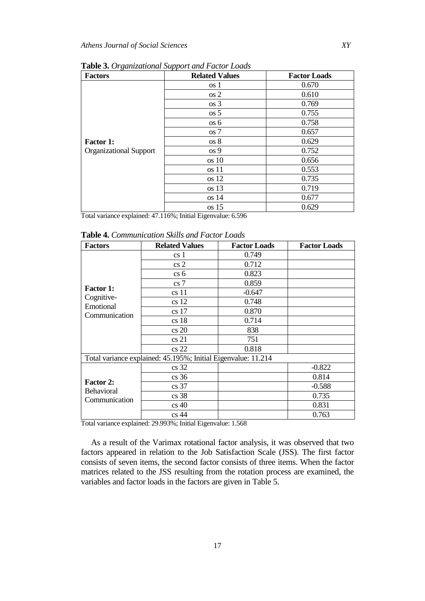| <b>Factors</b>                | <b>Related Values</b> | <b>Factor Loads</b> |
|-------------------------------|-----------------------|---------------------|
|                               | os 1                  | 0.670               |
|                               | os 2                  | 0.610               |
|                               | $\cos 3$              | 0.769               |
|                               | $\cos 5$              | 0.755               |
|                               | os 6                  | 0.758               |
|                               | os 7                  | 0.657               |
| <b>Factor 1:</b>              | os 8                  | 0.629               |
| <b>Organizational Support</b> | os 9                  | 0.752               |
|                               | $\cos 10$             | 0.656               |
|                               | $\cos 11$             | 0.553               |
|                               | $\cos 12$             | 0.735               |
|                               | $\cos 13$             | 0.719               |
|                               | $\cos 14$             | 0.677               |
|                               | $\cos 15$             | 0.629               |

**Table 3.** *Organizational Support and Factor Loads*

Total variance explained: 47.116%; Initial Eigenvalue: 6.596

**Table 4.** *Communication Skills and Factor Loads*

| <b>Factors</b>                                         | <b>Related Values</b>                                         | <b>Factor Loads</b> | <b>Factor Loads</b> |
|--------------------------------------------------------|---------------------------------------------------------------|---------------------|---------------------|
|                                                        | cs <sub>1</sub>                                               | 0.749               |                     |
|                                                        | cs2                                                           | 0.712               |                     |
|                                                        | cs6                                                           | 0.823               |                     |
|                                                        | cs <sub>7</sub>                                               | 0.859               |                     |
| <b>Factor 1:</b>                                       | cs <sub>11</sub>                                              | $-0.647$            |                     |
| Cognitive-<br>Emotional                                | cs <sub>12</sub>                                              | 0.748               |                     |
| Communication                                          | cs <sub>17</sub>                                              | 0.870               |                     |
|                                                        | cs <sub>18</sub>                                              | 0.714               |                     |
|                                                        | cs20                                                          | 838                 |                     |
|                                                        | cs21                                                          | 751                 |                     |
|                                                        | cs 22                                                         | 0.818               |                     |
|                                                        | Total variance explained: 45.195%; Initial Eigenvalue: 11.214 |                     |                     |
|                                                        | cs <sub>32</sub>                                              |                     | $-0.822$            |
|                                                        | cs <sub>36</sub>                                              |                     | 0.814               |
| <b>Factor 2:</b><br><b>Behavioral</b><br>Communication | cs <sub>37</sub>                                              |                     | $-0.588$            |
|                                                        | cs <sub>38</sub>                                              |                     | 0.735               |
|                                                        | cs40                                                          |                     | 0.831               |
|                                                        | cs44                                                          |                     | 0.763               |

Total variance explained: 29.993%; Initial Eigenvalue: 1.568

As a result of the Varimax rotational factor analysis, it was observed that two factors appeared in relation to the Job Satisfaction Scale (JSS). The first factor consists of seven items, the second factor consists of three items. When the factor matrices related to the JSS resulting from the rotation process are examined, the variables and factor loads in the factors are given in Table 5.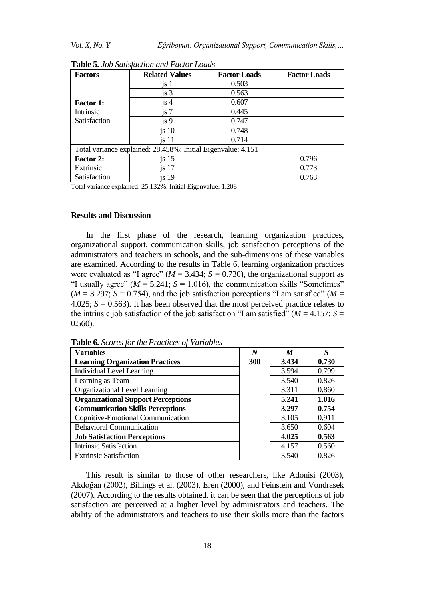| <b>Factors</b>                                               | <b>Related Values</b> | <b>Factor Loads</b> | <b>Factor Loads</b> |  |  |
|--------------------------------------------------------------|-----------------------|---------------------|---------------------|--|--|
|                                                              | js 1                  | 0.503               |                     |  |  |
|                                                              | is <sub>3</sub>       | 0.563               |                     |  |  |
| <b>Factor 1:</b>                                             | js 4                  | 0.607               |                     |  |  |
| Intrinsic                                                    | is 7                  | 0.445               |                     |  |  |
| Satisfaction                                                 | is 9                  | 0.747               |                     |  |  |
|                                                              | is 10                 | 0.748               |                     |  |  |
|                                                              | is 11                 | 0.714               |                     |  |  |
| Total variance explained: 28.458%; Initial Eigenvalue: 4.151 |                       |                     |                     |  |  |
| <b>Factor 2:</b>                                             | is <sub>15</sub>      |                     | 0.796               |  |  |
| Extrinsic                                                    | is <sub>17</sub>      |                     | 0.773               |  |  |
| Satisfaction                                                 | is <sub>19</sub>      |                     | 0.763               |  |  |

**Table 5.** *Job Satisfaction and Factor Loads*

Total variance explained: 25.132%: Initial Eigenvalue: 1.208

## **Results and Discussion**

In the first phase of the research, learning organization practices, organizational support, communication skills, job satisfaction perceptions of the administrators and teachers in schools, and the sub-dimensions of these variables are examined. According to the results in Table 6, learning organization practices were evaluated as "I agree" ( $M = 3.434$ ;  $S = 0.730$ ), the organizational support as "I usually agree" ( $M = 5.241$ ;  $S = 1.016$ ), the communication skills "Sometimes"  $(M = 3.297; S = 0.754)$ , and the job satisfaction perceptions "I am satisfied" ( $M =$ 4.025;  $S = 0.563$ ). It has been observed that the most perceived practice relates to the intrinsic job satisfaction of the job satisfaction "I am satisfied" ( $M = 4.157$ ;  $S =$ 0.560).

| <b>Variables</b>                          | N   | M     | S     |
|-------------------------------------------|-----|-------|-------|
| <b>Learning Organization Practices</b>    | 300 | 3.434 | 0.730 |
| <b>Individual Level Learning</b>          |     | 3.594 | 0.799 |
| Learning as Team                          |     | 3.540 | 0.826 |
| Organizational Level Learning             |     | 3.311 | 0.860 |
| <b>Organizational Support Perceptions</b> |     | 5.241 | 1.016 |
| <b>Communication Skills Perceptions</b>   |     | 3.297 | 0.754 |
| Cognitive-Emotional Communication         |     | 3.105 | 0.911 |
| <b>Behavioral Communication</b>           |     | 3.650 | 0.604 |
| <b>Job Satisfaction Perceptions</b>       |     | 4.025 | 0.563 |
| <b>Intrinsic Satisfaction</b>             |     | 4.157 | 0.560 |
| <b>Extrinsic Satisfaction</b>             |     | 3.540 | 0.826 |

**Table 6.** *Scores for the Practices of Variables*

This result is similar to those of other researchers, like Adonisi (2003), Akdoğan (2002), Billings et al. (2003), Eren (2000), and Feinstein and Vondrasek (2007). According to the results obtained, it can be seen that the perceptions of job satisfaction are perceived at a higher level by administrators and teachers. The ability of the administrators and teachers to use their skills more than the factors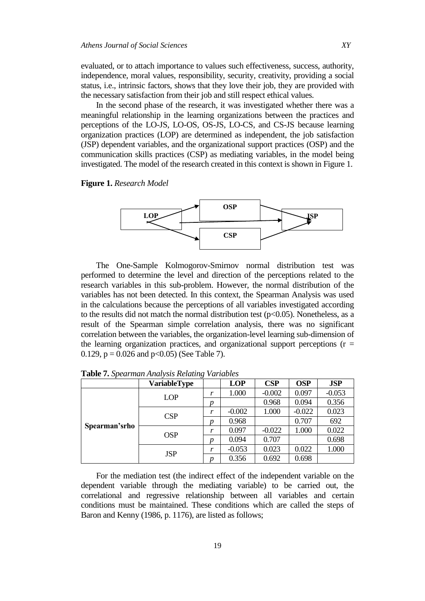evaluated, or to attach importance to values such effectiveness, success, authority, independence, moral values, responsibility, security, creativity, providing a social status, i.e., intrinsic factors, shows that they love their job, they are provided with the necessary satisfaction from their job and still respect ethical values.

In the second phase of the research, it was investigated whether there was a meaningful relationship in the learning organizations between the practices and perceptions of the LO-JS, LO-OS, OS-JS, LO-CS, and CS-JS because learning organization practices (LOP) are determined as independent, the job satisfaction (JSP) dependent variables, and the organizational support practices (OSP) and the communication skills practices (CSP) as mediating variables, in the model being investigated. The model of the research created in this context is shown in Figure 1.

**Figure 1.** *Research Model*



The One-Sample Kolmogorov-Smirnov normal distribution test was performed to determine the level and direction of the perceptions related to the research variables in this sub-problem. However, the normal distribution of the variables has not been detected. In this context, the Spearman Analysis was used in the calculations because the perceptions of all variables investigated according to the results did not match the normal distribution test  $(p<0.05)$ . Nonetheless, as a result of the Spearman simple correlation analysis, there was no significant correlation between the variables, the organization-level learning sub-dimension of the learning organization practices, and organizational support perceptions  $(r =$ 0.129,  $p = 0.026$  and  $p < 0.05$ ) (See Table 7).

|               | <b>VariableType</b> |   | <b>LOP</b> | CSP      | <b>OSP</b> | <b>JSP</b> |
|---------------|---------------------|---|------------|----------|------------|------------|
|               | <b>LOP</b>          | r | 1.000      | $-0.002$ | 0.097      | $-0.053$   |
|               |                     | p |            | 0.968    | 0.094      | 0.356      |
|               | CSP                 | r | $-0.002$   | 1.000    | $-0.022$   | 0.023      |
| Spearman'srho |                     | p | 0.968      |          | 0.707      | 692        |
|               | <b>OSP</b>          | r | 0.097      | $-0.022$ | 1.000      | 0.022      |
|               |                     | D | 0.094      | 0.707    |            | 0.698      |
|               | <b>JSP</b>          | r | $-0.053$   | 0.023    | 0.022      | 1.000      |
|               |                     | n | 0.356      | 0.692    | 0.698      |            |

**Table 7.** *Spearman Analysis Relating Variables*

For the mediation test (the indirect effect of the independent variable on the dependent variable through the mediating variable) to be carried out, the correlational and regressive relationship between all variables and certain conditions must be maintained. These conditions which are called the steps of Baron and Kenny (1986, p. 1176), are listed as follows;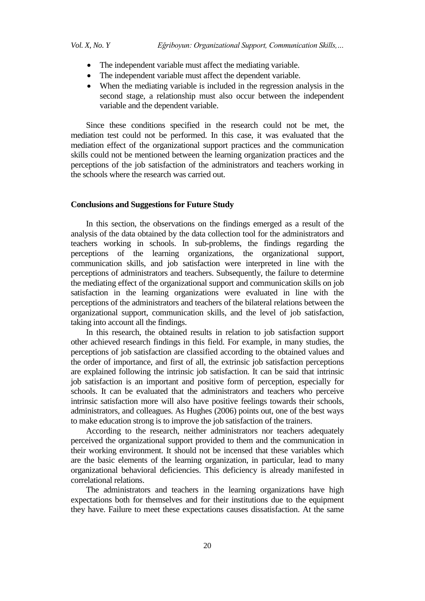- The independent variable must affect the mediating variable.
- The independent variable must affect the dependent variable.
- When the mediating variable is included in the regression analysis in the second stage, a relationship must also occur between the independent variable and the dependent variable.

Since these conditions specified in the research could not be met, the mediation test could not be performed. In this case, it was evaluated that the mediation effect of the organizational support practices and the communication skills could not be mentioned between the learning organization practices and the perceptions of the job satisfaction of the administrators and teachers working in the schools where the research was carried out.

## **Conclusions and Suggestions for Future Study**

In this section, the observations on the findings emerged as a result of the analysis of the data obtained by the data collection tool for the administrators and teachers working in schools. In sub-problems, the findings regarding the perceptions of the learning organizations, the organizational support, communication skills, and job satisfaction were interpreted in line with the perceptions of administrators and teachers. Subsequently, the failure to determine the mediating effect of the organizational support and communication skills on job satisfaction in the learning organizations were evaluated in line with the perceptions of the administrators and teachers of the bilateral relations between the organizational support, communication skills, and the level of job satisfaction, taking into account all the findings.

In this research, the obtained results in relation to job satisfaction support other achieved research findings in this field. For example, in many studies, the perceptions of job satisfaction are classified according to the obtained values and the order of importance, and first of all, the extrinsic job satisfaction perceptions are explained following the intrinsic job satisfaction. It can be said that intrinsic job satisfaction is an important and positive form of perception, especially for schools. It can be evaluated that the administrators and teachers who perceive intrinsic satisfaction more will also have positive feelings towards their schools, administrators, and colleagues. As Hughes (2006) points out, one of the best ways to make education strong is to improve the job satisfaction of the trainers.

According to the research, neither administrators nor teachers adequately perceived the organizational support provided to them and the communication in their working environment. It should not be incensed that these variables which are the basic elements of the learning organization, in particular, lead to many organizational behavioral deficiencies. This deficiency is already manifested in correlational relations.

The administrators and teachers in the learning organizations have high expectations both for themselves and for their institutions due to the equipment they have. Failure to meet these expectations causes dissatisfaction. At the same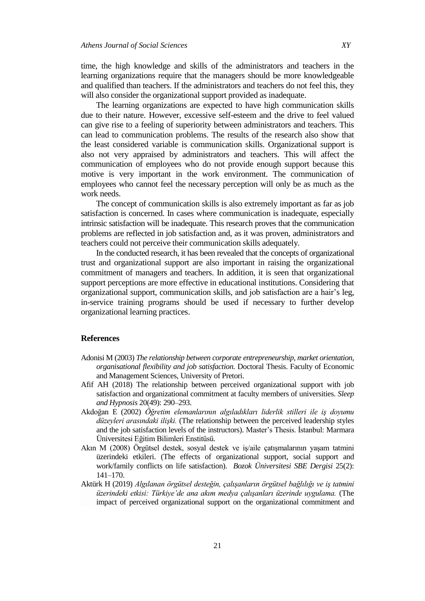time, the high knowledge and skills of the administrators and teachers in the learning organizations require that the managers should be more knowledgeable and qualified than teachers. If the administrators and teachers do not feel this, they will also consider the organizational support provided as inadequate.

The learning organizations are expected to have high communication skills due to their nature. However, excessive self-esteem and the drive to feel valued can give rise to a feeling of superiority between administrators and teachers. This can lead to communication problems. The results of the research also show that the least considered variable is communication skills. Organizational support is also not very appraised by administrators and teachers. This will affect the communication of employees who do not provide enough support because this motive is very important in the work environment. The communication of employees who cannot feel the necessary perception will only be as much as the work needs.

The concept of communication skills is also extremely important as far as job satisfaction is concerned. In cases where communication is inadequate, especially intrinsic satisfaction will be inadequate. This research proves that the communication problems are reflected in job satisfaction and, as it was proven, administrators and teachers could not perceive their communication skills adequately.

In the conducted research, it has been revealed that the concepts of organizational trust and organizational support are also important in raising the organizational commitment of managers and teachers. In addition, it is seen that organizational support perceptions are more effective in educational institutions. Considering that organizational support, communication skills, and job satisfaction are a hair's leg, in-service training programs should be used if necessary to further develop organizational learning practices.

## **References**

- Adonisi M (2003) *The relationship between corporate entrepreneurship, market orientation, organisational flexibility and job satisfaction.* Doctoral Thesis. Faculty of Economic and Management Sciences, University of Pretori.
- Afif AH (2018) The relationship between perceived organizational support with job satisfaction and organizational commitment at faculty members of universities. *Sleep and Hypnosis* 20(49): 290–293.
- Akdoğan E (2002) *Öğretim elemanlarının algıladıkları liderlik stilleri ile iş doyumu düzeyleri arasındaki ilişki.* (The relationship between the perceived leadership styles and the job satisfaction levels of the instructors). Master's Thesis. İstanbul: Marmara Üniversitesi Eğitim Bilimleri Enstitüsü.
- Akın M (2008) Örgütsel destek, sosyal destek ve iş/aile çatışmalarının yaşam tatmini üzerindeki etkileri. (The effects of organizational support, social support and work/family conflicts on life satisfaction). *Bozok Üniversitesi SBE Dergisi* 25(2): 141–170.
- Aktürk H (2019) *Algılanan örgütsel desteğin, çalışanların örgütsel bağlılığı ve iş tatmini üzerindeki etkisi: Türkiye'de ana akım medya çalışanları üzerinde uygulama.* (The impact of perceived organizational support on the organizational commitment and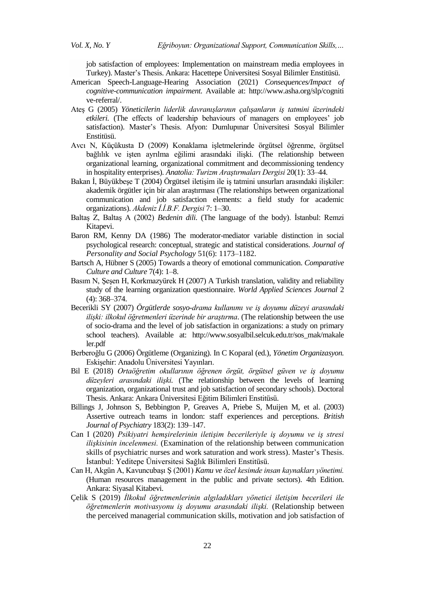job satisfaction of employees: Implementation on mainstream media employees in Turkey). Master's Thesis. Ankara: Hacettepe Üniversitesi Sosyal Bilimler Enstitüsü.

- American Speech-Language-Hearing Association (2021) *Consequences/Impact of cognitive-communication impairment.* Available at: http://www.asha.org/slp/cogniti ve-referral/.
- Ateş G (2005) *Yöneticilerin liderlik davranışlarının çalışanların iş tatmini üzerindeki etkileri.* (The effects of leadership behaviours of managers on employees' job satisfaction). Master's Thesis. Afyon: Dumlupınar Üniversitesi Sosyal Bilimler Enstitüsü.
- Avcı N, Küçükusta D (2009) Konaklama işletmelerinde örgütsel öğrenme, örgütsel bağlılık ve işten ayrılma eğilimi arasındaki ilişki. (The relationship between organizational learning, organizational commitment and decommissioning tendency in hospitality enterprises). *Anatolia: Turizm Araştırmaları Dergisi* 20(1): 33–44.
- Bakan İ, Büyükbeşe T (2004) Örgütsel iletişim ile iş tatmini unsurları arasındaki ilişkiler: akademik örgütler için bir alan araştırması (The relationships between organizational communication and job satisfaction elements: a field study for academic organizations). *Akdeniz İ.İ.B.F. Dergisi* 7: 1–30.
- Baltaş Z, Baltaş A (2002) *Bedenin dili.* (The language of the body). İstanbul: Remzi Kitapevi.
- Baron RM, Kenny DA (1986) The moderator-mediator variable distinction in social psychological research: conceptual, strategic and statistical considerations. *Journal of Personality and Social Psychology* 51(6): 1173–1182.
- Bartsch A, Hübner S (2005) Towards a theory of emotional communication. *Comparative Culture and Culture* 7(4): 1–8.
- Basım N, Şeşen H, Korkmazyürek H (2007) A Turkish translation, validity and reliability study of the learning organization questionnaire. *World Applied Sciences Journal* 2 (4): 368–374.
- Becerikli SY (2007) *Örgütlerde sosyo-drama kullanımı ve iş doyumu düzeyi arasındaki ilişki: ilkokul öğretmenleri üzerinde bir araştırma*. (The relationship between the use of socio-drama and the level of job satisfaction in organizations: a study on primary school teachers). Available at: http://www.sosyalbil.selcuk.edu.tr/sos\_mak/makale ler.pdf
- Berberoğlu G (2006) Örgütleme (Organizing). In C Koparal (ed.), *Yönetim Organizasyon.*  Eskişehir: Anadolu Üniversitesi Yayınları.
- Bil E (2018) *Ortaöğretim okullarının öğrenen örgüt, örgütsel güven ve iş doyumu düzeyleri arasındaki ilişki.* (The relationship between the levels of learning organization, organizational trust and job satisfaction of secondary schools). Doctoral Thesis. Ankara: Ankara Üniversitesi Eğitim Bilimleri Enstitüsü.
- Billings J, Johnson S, Bebbington P, Greaves A, Priebe S, Muijen M, et al. (2003) Assertive outreach teams in london: staff experiences and perceptions. *British Journal of Psychiatry* 183(2): 139–147.
- Can I (2020) *Psikiyatri hemşirelerinin iletişim becerileriyle iş doyumu ve iş stresi ilişkisinin incelenmesi.* (Examination of the relationship between communication skills of psychiatric nurses and work saturation and work stress). Master's Thesis. İstanbul: Yeditepe Üniversitesi Sağlık Bilimleri Enstitüsü.
- Can H, Akgün A, Kavuncubaşı Ş (2001) *Kamu ve özel kesimde insan kaynakları yönetimi.*  (Human resources management in the public and private sectors). 4th Edition. Ankara: Siyasal Kitabevi.
- Çelik S (2019) *İlkokul öğretmenlerinin algıladıkları yönetici iletişim becerileri ile öğretmenlerin motivasyonu iş doyumu arasındaki ilişki.* (Relationship between the perceived managerial communication skills, motivation and job satisfaction of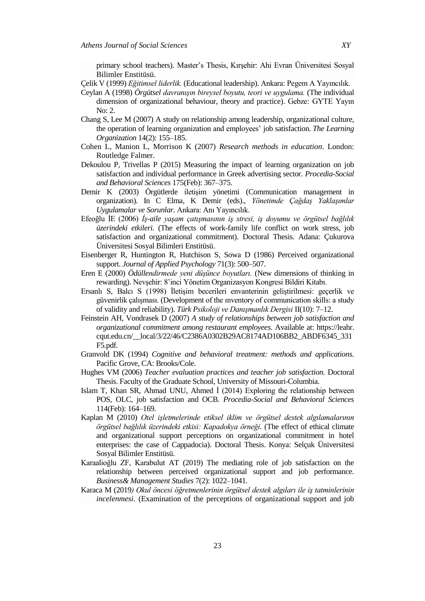primary school teachers). Master's Thesis, Kırşehir: Ahi Evran Üniversitesi Sosyal Bilimler Enstitüsü.

- Çelik V (1999) *Eğitimsel liderlik.* (Educational leadership). Ankara: Pegem A Yayıncılık.
- Ceylan A (1998) *Örgütsel davranışın bireysel boyutu, teori ve uygulama.* (The individual dimension of organizational behaviour, theory and practice). Gebze: GYTE Yayın No: 2.
- [Chang](https://www.emerald.com/insight/search?q=Su%E2%80%90Chao%20Chang) S, [Lee M](https://www.emerald.com/insight/search?q=Su%E2%80%90Chao%20Chang) (2007) A study on relationship among leadership, organizational culture, the operation of learning organization and employees' job satisfaction. *[The Learning](https://www.emerald.com/insight/publication/issn/0969-6474)  [Organization](https://www.emerald.com/insight/publication/issn/0969-6474)* 14(2): 155–185.
- Cohen L, Manion L, Morrison K (2007) *Research methods in education*. London: Routledge Falmer.
- Dekoulou P, Trivellas P (2015) Measuring the impact of learning organization on job satisfaction and individual performance in Greek advertising sector. *Procedia-Social and Behavioral Sciences* 175(Feb): 367–375.
- Demir K (2003) Örgütlerde iletişim yönetimi (Communication management in organization)*.* In C Elma, K Demir (eds)., *Yönetimde Çağdaş Yaklaşımlar Uygulamalar ve Sorunlar.* Ankara: Anı Yayıncılık.
- Efeoğlu İE (2006) *İş-aile yaşam çatışmasının iş stresi, iş doyumu ve örgütsel bağlılık üzerindeki etkileri.* (The effects of work-family life conflict on work stress, job satisfaction and organizational commitment). Doctoral Thesis. Adana: Çukurova Üniversitesi Sosyal Bilimleri Enstitüsü.
- Eisenberger R, Huntington R, Hutchison S, Sowa D (1986) Perceived organizational support. *Journal of Applied Psychology* 71(3): 500–507.
- Eren E (2000) *Ödüllendirmede yeni düşünce boyutları.* (New dimensions of thinking in rewarding). Nevşehir: 8'inci Yönetim Organizasyon Kongresi Bildiri Kitabı.
- Ersanlı S, Balcı S (1998) İletişim becerileri envanterinin geliştirilmesi: geçerlik ve güvenirlik çalışması. (Development of the ınventory of communication skills: a study of validity and reliability). *Türk Psikoloji ve Danışmanlık Dergisi* II(10): 7–12.
- Feinstein AH, Vondrasek D (2007) *A study of relationships between job satisfaction and organizational commitment among restaurant employees.* Available at: https://leahr. cqut.edu.cn/\_\_local/3/22/46/C2386A0302B29AC8174AD106BB2\_ABDF6345\_331 F5.pdf*.*
- Granvold DK (1994) *Cognitive and behavioral treatment: methods and applications.* Pacific Grove, CA: Brooks/Cole.
- Hughes VM (2006) *Teacher evaluation practices and teacher job satisfaction.* Doctoral Thesis. Faculty of the Graduate School, University of Missouri-Columbia.
- Islam T, Khan SR, Ahmad UNU, Ahmed İ (2014) Exploring the relationship between POS, OLC, job satisfaction and OCB. *Procedia-Social and Behavioral Sciences*  114(Feb): 164–169.
- Kaplan M (2010) *Otel işletmelerinde etiksel iklim ve örgütsel destek algılamalarının örgütsel bağlılık üzerindeki etkisi: Kapadokya örneği.* (The effect of ethical climate and organizational support perceptions on organizational commitment in hotel enterprises: the case of Cappadocia). Doctoral Thesis. Konya: Selçuk Üniversitesi Sosyal Bilimler Enstitüsü.
- Karaalioğlu ZF, Karabulut AT (2019) The mediating role of job satisfaction on the relationship between perceived organizational support and job performance. *Business& Management Studies* 7(2): 1022–1041.
- Karaca M (2019*) Okul öncesi öğretmenlerinin örgütsel destek algıları ile iş tatminlerinin incelenmesi.* (Examination of the perceptions of organizational support and job

23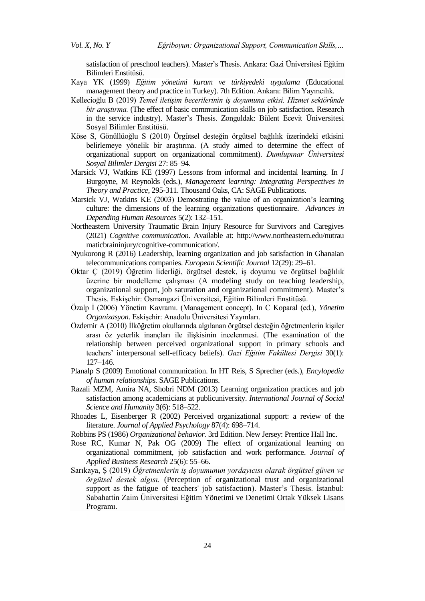satisfaction of preschool teachers). Master's Thesis. Ankara: Gazi Üniversitesi Eğitim Bilimleri Enstitüsü.

- Kaya YK (1999) *Eğitim yönetimi kuram ve türkiyedeki uygulama* (Educational management theory and practice in Turkey)*.* 7th Edition. Ankara: Bilim Yayıncılık.
- Kellecioğlu B (2019) *Temel iletişim becerilerinin iş doyumuna etkisi. Hizmet sektöründe bir araştırma.* (The effect of basic communication skills on job satisfaction. Research in the service industry). Master's Thesis. Zonguldak: Bülent Ecevit Üniversitesi Sosyal Bilimler Enstitüsü.
- Köse S, Gönüllüoğlu S (2010) Örgütsel desteğin örgütsel bağlılık üzerindeki etkisini belirlemeye yönelik bir araştırma. (A study aimed to determine the effect of organizational support on organizational commitment). *Dumlupınar Üniversitesi Sosyal Bilimler Dergisi* 27: 85–94.
- Marsick VJ, Watkins KE (1997) Lessons from informal and incidental learning. In J Burgoyne, M Reynolds (eds.), *Management learning: Integrating Perspectives in Theory and Practice*, 295-311. Thousand Oaks, CA: SAGE Publications.
- Marsick VJ, Watkins KE (2003) Demostrating the value of an organization's learning culture: the dimensions of the learning organizations questionnaire. *Advances in Depending Human Resources* 5(2): 132–151.
- [Northeastern University Traumatic Brain Injury Resource for Survivors and Caregives](file:///C:/ÜNİVERSİTE/AKADEMİK%20YAYINLARIM/THE%20ATHENS%20INSTITUTE/ATINER/Northeastern%20University%20Traumatic%20Brain%20Injury%20Resource%20for%20Survivors%20and%20Caregives.%202016.%20Cognitive%20Communication.%20http:/www.northeastern.edu/nutraumaticbraininjury/cognitive-communication/)  (2021) *[Cognitive communication](file:///C:/ÜNİVERSİTE/AKADEMİK%20YAYINLARIM/THE%20ATHENS%20INSTITUTE/ATINER/Northeastern%20University%20Traumatic%20Brain%20Injury%20Resource%20for%20Survivors%20and%20Caregives.%202016.%20Cognitive%20Communication.%20http:/www.northeastern.edu/nutraumaticbraininjury/cognitive-communication/)*. Available at: http://www.northeastern.edu/nutrau maticbraininjury/cognitive-communication/.
- Nyukorong R (2016) Leadership, learning organization and job satisfaction in Ghanaian telecommunications companies. *European Scientific Journal* 12(29): 29–61.
- Oktar Ç (2019) Öğretim liderliği, örgütsel destek, iş doyumu ve örgütsel bağlılık üzerine bir modelleme çalışması (A modeling study on teaching leadership, organizational support, job saturation and organizational commitment). Master's Thesis. Eskişehir: Osmangazi Üniversitesi, Eğitim Bilimleri Enstitüsü.
- Özalp İ (2006) Yönetim Kavramı. (Management concept). In C Koparal (ed.), *Yönetim Organizasyon*. Eskişehir: Anadolu Üniversitesi Yayınları.
- Özdemir A (2010) İlköğretim okullarında algılanan örgütsel desteğin öğretmenlerin kişiler arası öz yeterlik inançları ile ilişkisinin incelenmesi. (The examination of the relationship between perceived organizational support in primary schools and teachers' interpersonal self-efficacy beliefs). *Gazi Eğitim Fakültesi Dergisi* 30(1): 127–146.
- Planalp S (2009) Emotional communication. In HT Reis, S Sprecher (eds.), *Encylopedia of human relationships.* SAGE Publications.
- Razali MZM, Amira NA, Shobri NDM (2013) Learning organization practices and job satisfaction among academicians at publicuniversity. *International Journal of Social Science and Humanity* 3(6): 518–522.
- Rhoades L, Eisenberger R (2002) Perceived organizational support: a review of the literature. *Journal of Applied Psychology* 87(4): 698–714.
- Robbins PS (1986) *Organizational behavior.* 3rd Edition. New Jersey: Prentice Hall Inc.
- Rose RC, Kumar N, Pak OG (2009) The effect of organizational learning on organizational commitment, job satisfaction and work performance. *Journal of Applied Business Research* 25(6): 55–66.
- Sarıkaya, Ş (2019) *Öğretmenlerin iş doyumunun yordayıcısı olarak örgütsel güven ve örgütsel destek algısı.* (Perception of organizational trust and organizational support as the fatigue of teachers' job satisfaction). Master's Thesis. İstanbul: Sabahattin Zaim Üniversitesi Eğitim Yönetimi ve Denetimi Ortak Yüksek Lisans Programı.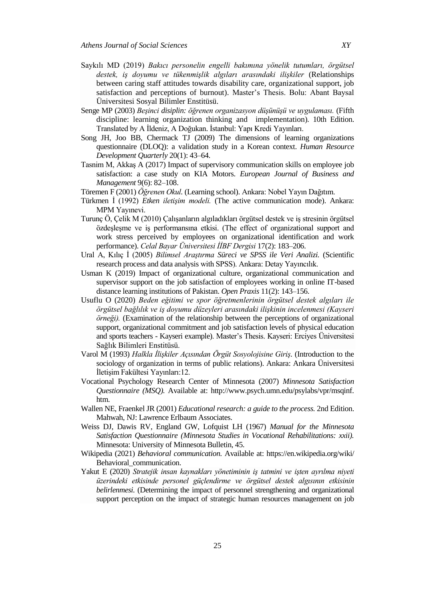- Saykılı MD (2019) *Bakıcı personelin engelli bakımına yönelik tutumları, örgütsel destek, iş doyumu ve tükenmişlik algıları arasındaki ilişkiler* (Relationships between caring staff attitudes towards disability care, organizational support, job satisfaction and perceptions of burnout). Master's Thesis. Bolu: Abant Baysal Üniversitesi Sosyal Bilimler Enstitüsü.
- Senge MP (2003) *Beşinci disiplin: öğrenen organizasyon düşünüşü ve uygulaması.* (Fifth discipline: learning organization thinking and implementation). 10th Edition. Translated by A İldeniz, A Doğukan. İstanbul: Yapı Kredi Yayınları.
- Song JH, Joo BB, Chermack TJ (2009) The dimensions of learning organizations questionnaire (DLOQ): a validation study in a Korean context. *Human Resource Development Quarterly* 20(1): 43–64.
- Tasnim M, Akkaş A (2017) Impact of supervisory communication skills on employee job satisfaction: a case study on KIA Motors. *European Journal of Business and Management* 9(6): 82–108.
- Töremen F (2001) *Öğrenen Okul.* (Learning school). Ankara: Nobel Yayın Dağıtım.
- Türkmen İ (1992) *Etken iletişim modeli.* (The active communication mode). Ankara: MPM Yayınevi.
- Turunç Ö, Çelik M (2010) Çalışanların algıladıkları örgütsel destek ve iş stresinin örgütsel özdeşleşme ve iş performansına etkisi. (The effect of organizational support and work stress perceived by employees on organizational identification and work performance). *Celal Bayar Üniversitesi İİBF Dergisi* 17(2): 183–206.
- Ural A, Kılıç İ (2005) *Bilimsel Araştırma Süreci ve SPSS ile Veri Analizi.* (Scientific research process and data analysis with SPSS). Ankara: Detay Yayıncılık.
- Usman K (2019) Impact of organizational culture, organizational communication and supervisor support on the job satisfaction of employees working in online IT-based distance learning institutions of Pakistan. *Open Praxis* 11(2): 143–156.
- Usuflu O (2020) *Beden eğitimi ve spor öğretmenlerinin örgütsel destek algıları ile örgütsel bağlılık ve iş doyumu düzeyleri arasındaki ilişkinin incelenmesi (Kayseri örneği).* (Examination of the relationship between the perceptions of organizational support, organizational commitment and job satisfaction levels of physical education and sports teachers - Kayseri example). Master's Thesis. Kayseri: Erciyes Üniversitesi Sağlık Bilimleri Enstitüsü.
- Varol M (1993) *Halkla İlişkiler Açısından Örgüt Sosyolojisine Giriş.* (Introduction to the sociology of organization in terms of public relations). Ankara: Ankara Üniversitesi İletişim Fakültesi Yayınları:12.
- Vocational Psychology Research Center of Minnesota (2007) *Minnesota Satisfaction Questionnaire (MSQ).* Available at: http://www.psych.umn.edu/psylabs/vpr/msqinf. htm.
- Wallen NE, Fraenkel JR (2001) *Educational research: a guide to the process.* 2nd Edition. Mahwah, NJ: Lawrence Erlbaum Associates.
- Weiss DJ, Dawis RV, England GW, Lofquist LH (1967) *Manual for the Minnesota Satisfaction Questionnaire (Minnesota Studies in Vocational Rehabilitations: xxii).* Minnesota: University of Minnesota Bulletin, 45.
- Wikipedia (2021) *Behavioral communication.* Available at: [https://en.wikipedia.org/wiki/](https://en.wikipedia.org/wiki/%20Behavioral_communication)  [Behavioral\\_communication.](https://en.wikipedia.org/wiki/%20Behavioral_communication)
- Yakut E (2020) *Stratejik insan kaynakları yönetiminin iş tatmini ve işten ayrılma niyeti üzerindeki etkisinde personel güçlendirme ve örgütsel destek algısının etkisinin belirlenmesi.* (Determining the impact of personnel strengthening and organizational support perception on the impact of strategic human resources management on job